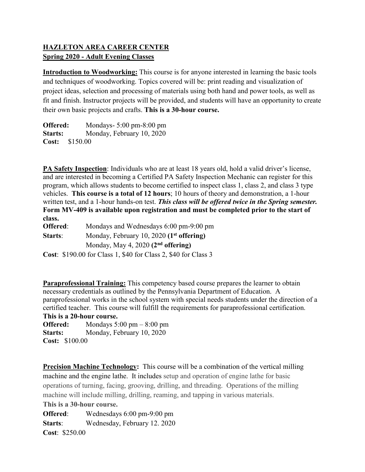## **HAZLETON AREA CAREER CENTER Spring 2020 - Adult Evening Classes**

**Introduction to Woodworking:** This course is for anyone interested in learning the basic tools and techniques of woodworking. Topics covered will be: print reading and visualization of project ideas, selection and processing of materials using both hand and power tools, as well as fit and finish. Instructor projects will be provided, and students will have an opportunity to create their own basic projects and crafts. **This is a 30-hour course.**

**Offered:** Mondays- 5:00 pm-8:00 pm Starts: Monday, February 10, 2020 **Cost:** \$150.00

**PA Safety Inspection**: Individuals who are at least 18 years old, hold a valid driver's license, and are interested in becoming a Certified PA Safety Inspection Mechanic can register for this program, which allows students to become certified to inspect class 1, class 2, and class 3 type vehicles. **This course is a total of 12 hours**; 10 hours of theory and demonstration, a 1-hour written test, and a 1-hour hands-on test. *This class will be offered twice in the Spring semester.* **Form MV-409 is available upon registration and must be completed prior to the start of class.**

**Offered:** Mondays and Wednesdays 6:00 pm-9:00 pm **Starts**: Monday, February 10, 2020 **(1st offering)** Monday, May 4, 2020 **(2nd offering)**

**Cost**: \$190.00 for Class 1, \$40 for Class 2, \$40 for Class 3

**Paraprofessional Training:** This competency based course prepares the learner to obtain necessary credentials as outlined by the Pennsylvania Department of Education. A paraprofessional works in the school system with special needs students under the direction of a certified teacher. This course will fulfill the requirements for paraprofessional certification. **This is a 20-hour course.**

**Offered:** Mondays 5:00 pm – 8:00 pm Starts: Monday, February 10, 2020 **Cost:** \$100.00

**Precision Machine Technology:** This course will be a combination of the vertical milling machine and the engine lathe. It includes setup and operation of engine lathe for basic operations of turning, facing, grooving, drilling, and threading. Operations of the milling machine will include milling, drilling, reaming, and tapping in various materials. **This is a 30-hour course.**

**Offered**: Wednesdays 6:00 pm-9:00 pm **Starts**: Wednesday, February 12. 2020 **Cost**: \$250.00